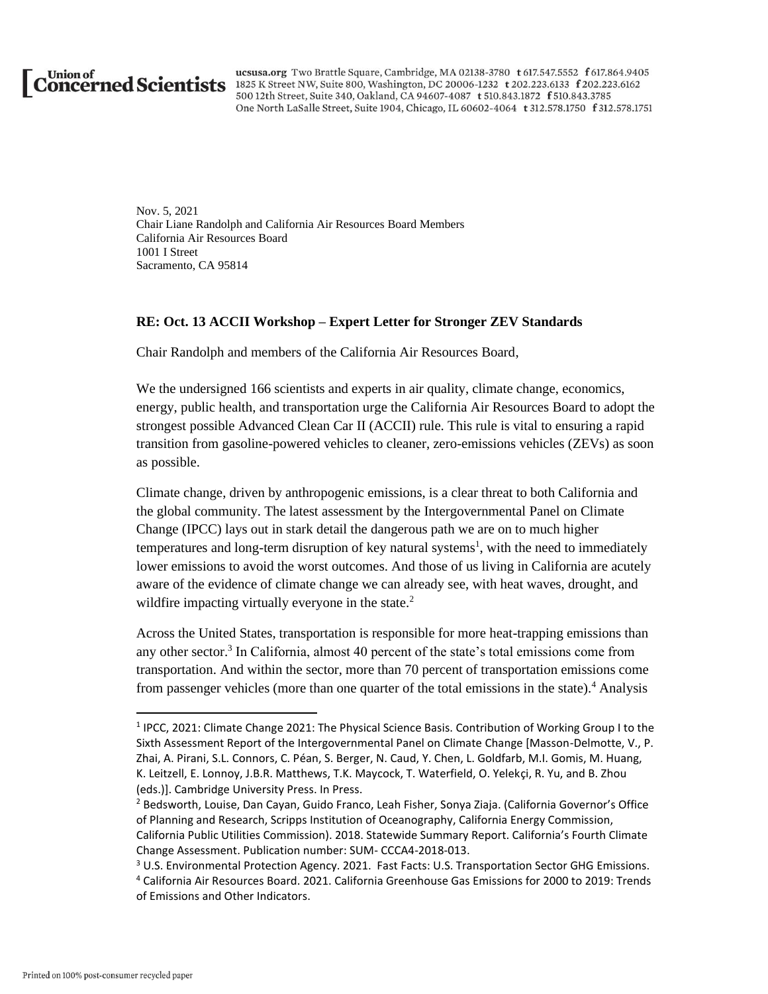

ucsusa.org Two Brattle Square, Cambridge, MA 02138-3780 t 617.547.5552 f 617.864.9405 Union of ususa.org Two Brattle Square, Cambridge, MA 02138-3780 t 617.547.5552 f 617.864.940<br> **CONCETNED SCIENTISTS** 1825 K Street NW, Suite 800, Washington, DC 20006-1232 t 202.223.6133 f 202.223.6162<br>
500 12th Street, Su One North LaSalle Street, Suite 1904, Chicago, IL 60602-4064 t 312.578.1750 f 312.578.1751

> Nov. 5, 2021 Chair Liane Randolph and California Air Resources Board Members California Air Resources Board 1001 I Street Sacramento, CA 95814

#### **RE: Oct. 13 ACCII Workshop – Expert Letter for Stronger ZEV Standards**

Chair Randolph and members of the California Air Resources Board,

We the undersigned 166 scientists and experts in air quality, climate change, economics, energy, public health, and transportation urge the California Air Resources Board to adopt the strongest possible Advanced Clean Car II (ACCII) rule. This rule is vital to ensuring a rapid transition from gasoline-powered vehicles to cleaner, zero-emissions vehicles (ZEVs) as soon as possible.

Climate change, driven by anthropogenic emissions, is a clear threat to both California and the global community. The latest assessment by the Intergovernmental Panel on Climate Change (IPCC) lays out in stark detail the dangerous path we are on to much higher temperatures and long-term disruption of key natural systems<sup>1</sup>, with the need to immediately lower emissions to avoid the worst outcomes. And those of us living in California are acutely aware of the evidence of climate change we can already see, with heat waves, drought, and wildfire impacting virtually everyone in the state.<sup>2</sup>

Across the United States, transportation is responsible for more heat-trapping emissions than any other sector.<sup>3</sup> In California, almost 40 percent of the state's total emissions come from transportation. And within the sector, more than 70 percent of transportation emissions come from passenger vehicles (more than one quarter of the total emissions in the state).<sup>4</sup> Analysis

<sup>&</sup>lt;sup>1</sup> IPCC, 2021: Climate Change 2021: The Physical Science Basis. Contribution of Working Group I to the Sixth Assessment Report of the Intergovernmental Panel on Climate Change [Masson-Delmotte, V., P. Zhai, A. Pirani, S.L. Connors, C. Péan, S. Berger, N. Caud, Y. Chen, L. Goldfarb, M.I. Gomis, M. Huang, K. Leitzell, E. Lonnoy, J.B.R. Matthews, T.K. Maycock, T. Waterfield, O. Yelekçi, R. Yu, and B. Zhou (eds.)]. Cambridge University Press. In Press.

<sup>2</sup> Bedsworth, Louise, Dan Cayan, Guido Franco, Leah Fisher, Sonya Ziaja. (California Governor's Office of Planning and Research, Scripps Institution of Oceanography, California Energy Commission, California Public Utilities Commission). 2018. Statewide Summary Report. California's Fourth Climate Change Assessment. Publication number: SUM- CCCA4-2018-013.

<sup>&</sup>lt;sup>3</sup> U.S. Environmental Protection Agency. 2021. Fast Facts: U.S. Transportation Sector GHG Emissions. <sup>4</sup> California Air Resources Board. 2021. California Greenhouse Gas Emissions for 2000 to 2019: Trends of Emissions and Other Indicators.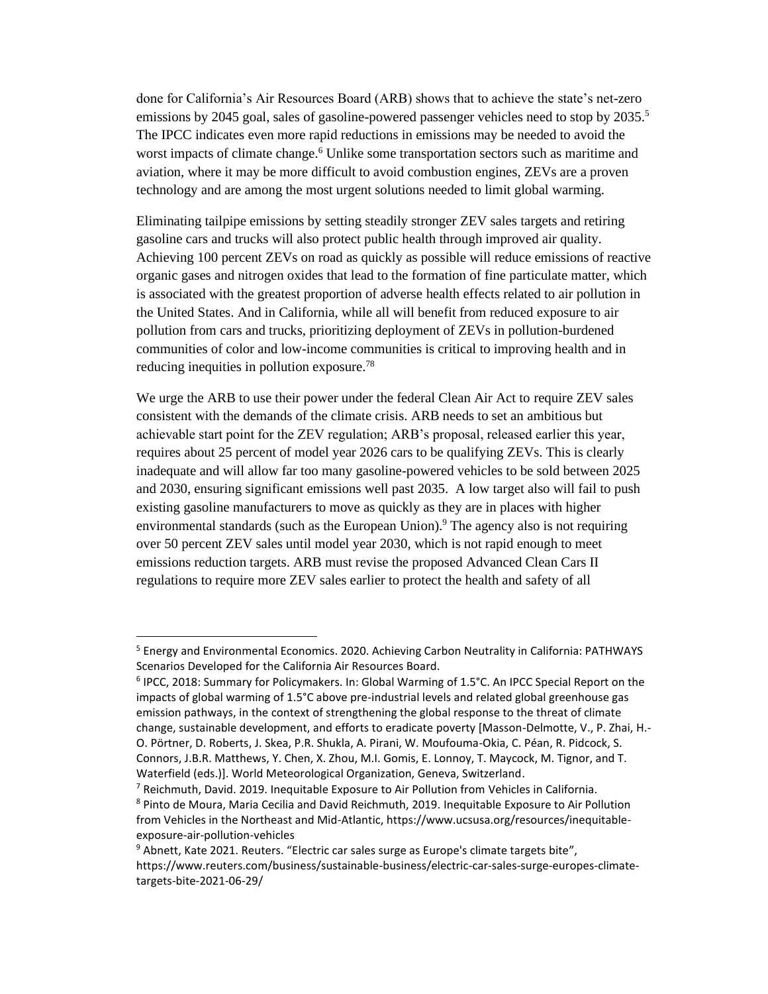done for California's Air Resources Board (ARB) shows that to achieve the state's net-zero emissions by 2045 goal, sales of gasoline-powered passenger vehicles need to stop by 2035.<sup>5</sup> The IPCC indicates even more rapid reductions in emissions may be needed to avoid the worst impacts of climate change.<sup>6</sup> Unlike some transportation sectors such as maritime and aviation, where it may be more difficult to avoid combustion engines, ZEVs are a proven technology and are among the most urgent solutions needed to limit global warming.

Eliminating tailpipe emissions by setting steadily stronger ZEV sales targets and retiring gasoline cars and trucks will also protect public health through improved air quality. Achieving 100 percent ZEVs on road as quickly as possible will reduce emissions of reactive organic gases and nitrogen oxides that lead to the formation of fine particulate matter, which is associated with the greatest proportion of adverse health effects related to air pollution in the United States. And in California, while all will benefit from reduced exposure to air pollution from cars and trucks, prioritizing deployment of ZEVs in pollution-burdened communities of color and low-income communities is critical to improving health and in reducing inequities in pollution exposure.<sup>78</sup>

We urge the ARB to use their power under the federal Clean Air Act to require ZEV sales consistent with the demands of the climate crisis. ARB needs to set an ambitious but achievable start point for the ZEV regulation; ARB's proposal, released earlier this year, requires about 25 percent of model year 2026 cars to be qualifying ZEVs. This is clearly inadequate and will allow far too many gasoline-powered vehicles to be sold between 2025 and 2030, ensuring significant emissions well past 2035. A low target also will fail to push existing gasoline manufacturers to move as quickly as they are in places with higher environmental standards (such as the European Union).<sup>9</sup> The agency also is not requiring over 50 percent ZEV sales until model year 2030, which is not rapid enough to meet emissions reduction targets. ARB must revise the proposed Advanced Clean Cars II regulations to require more ZEV sales earlier to protect the health and safety of all

<sup>5</sup> Energy and Environmental Economics. 2020. Achieving Carbon Neutrality in California: PATHWAYS Scenarios Developed for the California Air Resources Board.

<sup>6</sup> IPCC, 2018: Summary for Policymakers. In: Global Warming of 1.5°C. An IPCC Special Report on the impacts of global warming of 1.5°C above pre-industrial levels and related global greenhouse gas emission pathways, in the context of strengthening the global response to the threat of climate change, sustainable development, and efforts to eradicate poverty [Masson-Delmotte, V., P. Zhai, H.- O. Pörtner, D. Roberts, J. Skea, P.R. Shukla, A. Pirani, W. Moufouma-Okia, C. Péan, R. Pidcock, S. Connors, J.B.R. Matthews, Y. Chen, X. Zhou, M.I. Gomis, E. Lonnoy, T. Maycock, M. Tignor, and T. Waterfield (eds.)]. World Meteorological Organization, Geneva, Switzerland.

 $<sup>7</sup>$  Reichmuth, David. 2019. Inequitable Exposure to Air Pollution from Vehicles in California.</sup>

<sup>8</sup> Pinto de Moura, Maria Cecilia and David Reichmuth, 2019. Inequitable Exposure to Air Pollution from Vehicles in the Northeast and Mid-Atlantic, https://www.ucsusa.org/resources/inequitableexposure-air-pollution-vehicles

<sup>&</sup>lt;sup>9</sup> Abnett, Kate 2021. Reuters. "Electric car sales surge as Europe's climate targets bite", https://www.reuters.com/business/sustainable-business/electric-car-sales-surge-europes-climatetargets-bite-2021-06-29/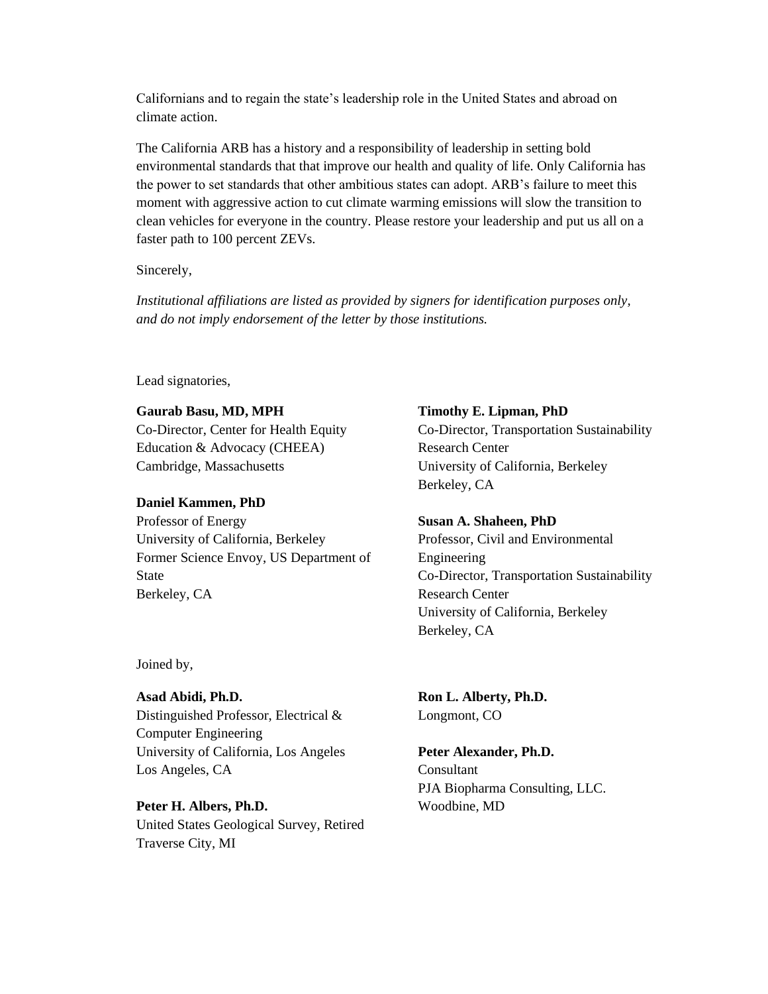Californians and to regain the state's leadership role in the United States and abroad on climate action.

The California ARB has a history and a responsibility of leadership in setting bold environmental standards that that improve our health and quality of life. Only California has the power to set standards that other ambitious states can adopt. ARB's failure to meet this moment with aggressive action to cut climate warming emissions will slow the transition to clean vehicles for everyone in the country. Please restore your leadership and put us all on a faster path to 100 percent ZEVs.

Sincerely,

*Institutional affiliations are listed as provided by signers for identification purposes only, and do not imply endorsement of the letter by those institutions.*

Lead signatories,

**Gaurab Basu, MD, MPH** Co-Director, Center for Health Equity Education & Advocacy (CHEEA) Cambridge, Massachusetts

#### **Daniel Kammen, PhD**

Professor of Energy University of California, Berkeley Former Science Envoy, US Department of State Berkeley, CA

Joined by,

**Asad Abidi, Ph.D.** Distinguished Professor, Electrical & Computer Engineering University of California, Los Angeles Los Angeles, CA

**Peter H. Albers, Ph.D.** United States Geological Survey, Retired Traverse City, MI

**Timothy E. Lipman, PhD** Co-Director, Transportation Sustainability Research Center University of California, Berkeley Berkeley, CA

**Susan A. Shaheen, PhD** Professor, Civil and Environmental Engineering Co-Director, Transportation Sustainability Research Center University of California, Berkeley Berkeley, CA

**Ron L. Alberty, Ph.D.** Longmont, CO

## **Peter Alexander, Ph.D.** Consultant PJA Biopharma Consulting, LLC. Woodbine, MD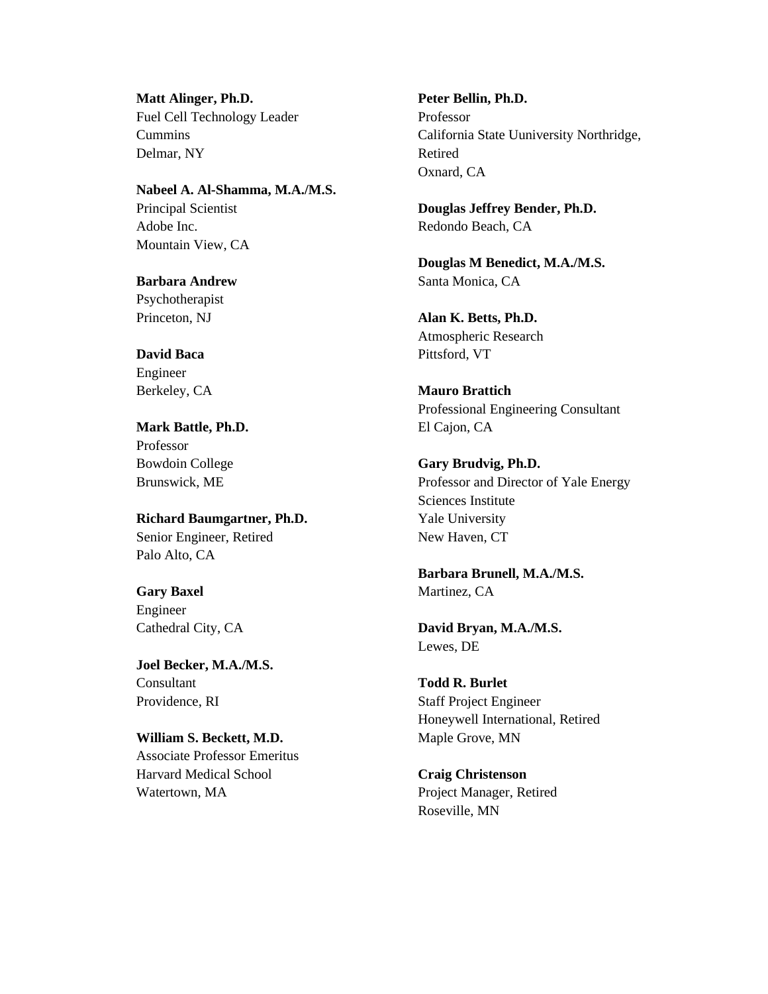**Matt Alinger, Ph.D.** Fuel Cell Technology Leader Cummins Delmar, NY

**Nabeel A. Al-Shamma, M.A./M.S.** Principal Scientist Adobe Inc. Mountain View, CA

**Barbara Andrew** Psychotherapist Princeton, NJ

**David Baca** Engineer Berkeley, CA

**Mark Battle, Ph.D.** Professor Bowdoin College Brunswick, ME

**Richard Baumgartner, Ph.D.** Senior Engineer, Retired Palo Alto, CA

**Gary Baxel** Engineer Cathedral City, CA

**Joel Becker, M.A./M.S. Consultant** Providence, RI

**William S. Beckett, M.D.** Associate Professor Emeritus Harvard Medical School Watertown, MA

**Peter Bellin, Ph.D.** Professor California State Uuniversity Northridge, Retired Oxnard, CA

**Douglas Jeffrey Bender, Ph.D.** Redondo Beach, CA

**Douglas M Benedict, M.A./M.S.** Santa Monica, CA

**Alan K. Betts, Ph.D.** Atmospheric Research Pittsford, VT

**Mauro Brattich** Professional Engineering Consultant El Cajon, CA

**Gary Brudvig, Ph.D.** Professor and Director of Yale Energy Sciences Institute Yale University New Haven, CT

**Barbara Brunell, M.A./M.S.** Martinez, CA

**David Bryan, M.A./M.S.** Lewes, DE

**Todd R. Burlet** Staff Project Engineer Honeywell International, Retired Maple Grove, MN

**Craig Christenson** Project Manager, Retired Roseville, MN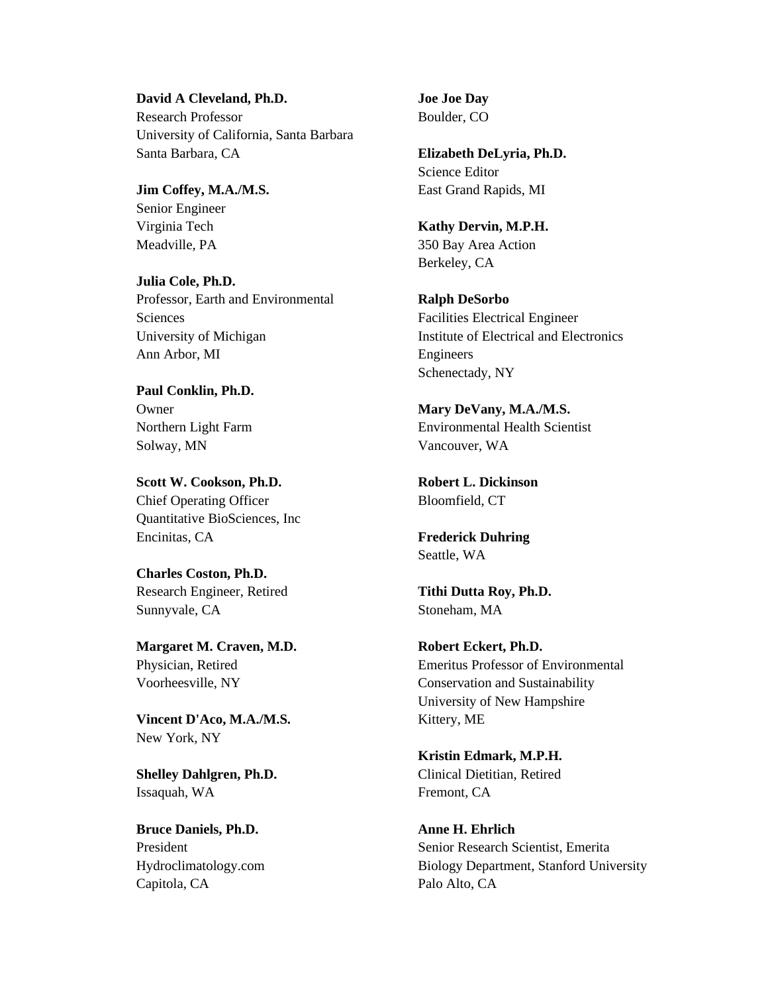**David A Cleveland, Ph.D.** Research Professor University of California, Santa Barbara Santa Barbara, CA

**Jim Coffey, M.A./M.S.** Senior Engineer Virginia Tech Meadville, PA

**Julia Cole, Ph.D.** Professor, Earth and Environmental Sciences University of Michigan Ann Arbor, MI

**Paul Conklin, Ph.D.** Owner Northern Light Farm Solway, MN

**Scott W. Cookson, Ph.D.** Chief Operating Officer Quantitative BioSciences, Inc Encinitas, CA

**Charles Coston, Ph.D.** Research Engineer, Retired Sunnyvale, CA

**Margaret M. Craven, M.D.** Physician, Retired Voorheesville, NY

**Vincent D'Aco, M.A./M.S.** New York, NY

**Shelley Dahlgren, Ph.D.** Issaquah, WA

**Bruce Daniels, Ph.D.** President Hydroclimatology.com Capitola, CA

**Joe Joe Day** Boulder, CO

**Elizabeth DeLyria, Ph.D.** Science Editor East Grand Rapids, MI

**Kathy Dervin, M.P.H.** 350 Bay Area Action Berkeley, CA

**Ralph DeSorbo** Facilities Electrical Engineer Institute of Electrical and Electronics Engineers Schenectady, NY

**Mary DeVany, M.A./M.S.** Environmental Health Scientist Vancouver, WA

**Robert L. Dickinson** Bloomfield, CT

**Frederick Duhring** Seattle, WA

**Tithi Dutta Roy, Ph.D.** Stoneham, MA

**Robert Eckert, Ph.D.** Emeritus Professor of Environmental Conservation and Sustainability University of New Hampshire Kittery, ME

**Kristin Edmark, M.P.H.** Clinical Dietitian, Retired Fremont, CA

**Anne H. Ehrlich** Senior Research Scientist, Emerita Biology Department, Stanford University Palo Alto, CA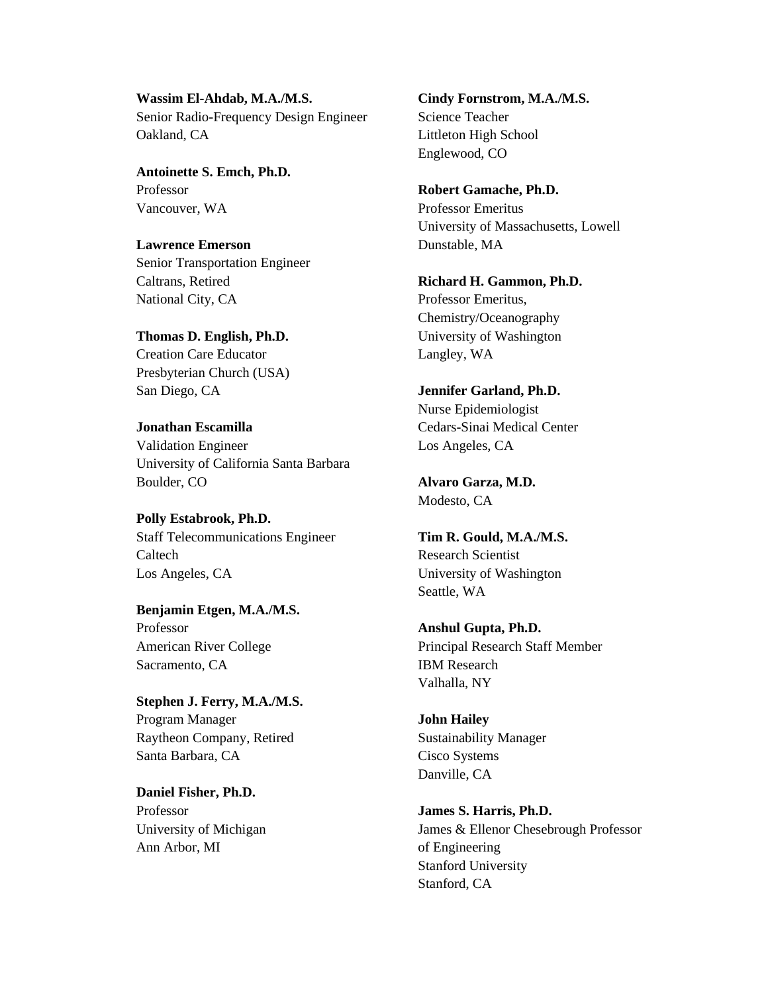**Wassim El-Ahdab, M.A./M.S.** Senior Radio-Frequency Design Engineer Oakland, CA

**Antoinette S. Emch, Ph.D.** Professor Vancouver, WA

**Lawrence Emerson** Senior Transportation Engineer Caltrans, Retired National City, CA

**Thomas D. English, Ph.D.** Creation Care Educator Presbyterian Church (USA) San Diego, CA

**Jonathan Escamilla** Validation Engineer University of California Santa Barbara Boulder, CO

**Polly Estabrook, Ph.D.** Staff Telecommunications Engineer Caltech Los Angeles, CA

**Benjamin Etgen, M.A./M.S.** Professor American River College Sacramento, CA

**Stephen J. Ferry, M.A./M.S.** Program Manager Raytheon Company, Retired Santa Barbara, CA

**Daniel Fisher, Ph.D.** Professor University of Michigan Ann Arbor, MI

**Cindy Fornstrom, M.A./M.S.** Science Teacher Littleton High School Englewood, CO

**Robert Gamache, Ph.D.** Professor Emeritus University of Massachusetts, Lowell Dunstable, MA

**Richard H. Gammon, Ph.D.** Professor Emeritus, Chemistry/Oceanography University of Washington Langley, WA

**Jennifer Garland, Ph.D.** Nurse Epidemiologist Cedars-Sinai Medical Center Los Angeles, CA

**Alvaro Garza, M.D.** Modesto, CA

**Tim R. Gould, M.A./M.S.** Research Scientist University of Washington Seattle, WA

**Anshul Gupta, Ph.D.** Principal Research Staff Member IBM Research Valhalla, NY

**John Hailey** Sustainability Manager Cisco Systems Danville, CA

**James S. Harris, Ph.D.** James & Ellenor Chesebrough Professor of Engineering Stanford University Stanford, CA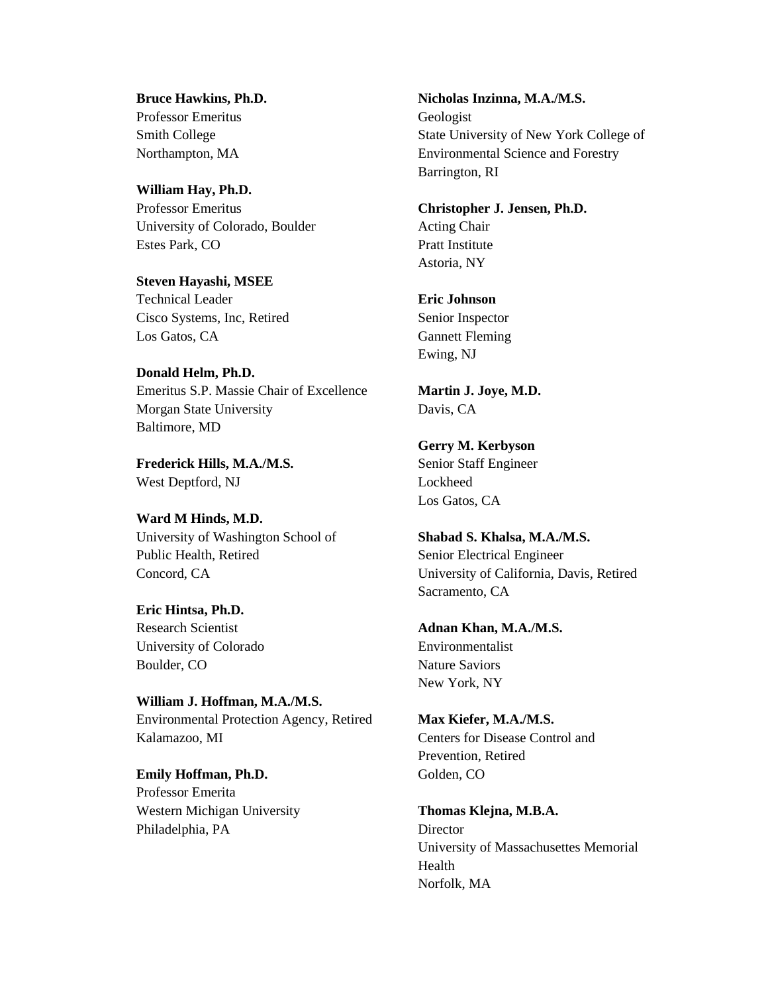**Bruce Hawkins, Ph.D.** Professor Emeritus Smith College Northampton, MA

**William Hay, Ph.D.** Professor Emeritus University of Colorado, Boulder Estes Park, CO

**Steven Hayashi, MSEE** Technical Leader Cisco Systems, Inc, Retired Los Gatos, CA

**Donald Helm, Ph.D.** Emeritus S.P. Massie Chair of Excellence Morgan State University Baltimore, MD

**Frederick Hills, M.A./M.S.** West Deptford, NJ

**Ward M Hinds, M.D.** University of Washington School of Public Health, Retired Concord, CA

**Eric Hintsa, Ph.D.** Research Scientist University of Colorado Boulder, CO

**William J. Hoffman, M.A./M.S.** Environmental Protection Agency, Retired Kalamazoo, MI

**Emily Hoffman, Ph.D.** Professor Emerita Western Michigan University Philadelphia, PA

**Nicholas Inzinna, M.A./M.S.** Geologist State University of New York College of Environmental Science and Forestry Barrington, RI

**Christopher J. Jensen, Ph.D.** Acting Chair Pratt Institute Astoria, NY

**Eric Johnson** Senior Inspector Gannett Fleming Ewing, NJ

**Martin J. Joye, M.D.** Davis, CA

**Gerry M. Kerbyson** Senior Staff Engineer Lockheed Los Gatos, CA

**Shabad S. Khalsa, M.A./M.S.** Senior Electrical Engineer University of California, Davis, Retired Sacramento, CA

**Adnan Khan, M.A./M.S.** Environmentalist Nature Saviors New York, NY

**Max Kiefer, M.A./M.S.** Centers for Disease Control and Prevention, Retired Golden, CO

**Thomas Klejna, M.B.A.** Director University of Massachusettes Memorial Health Norfolk, MA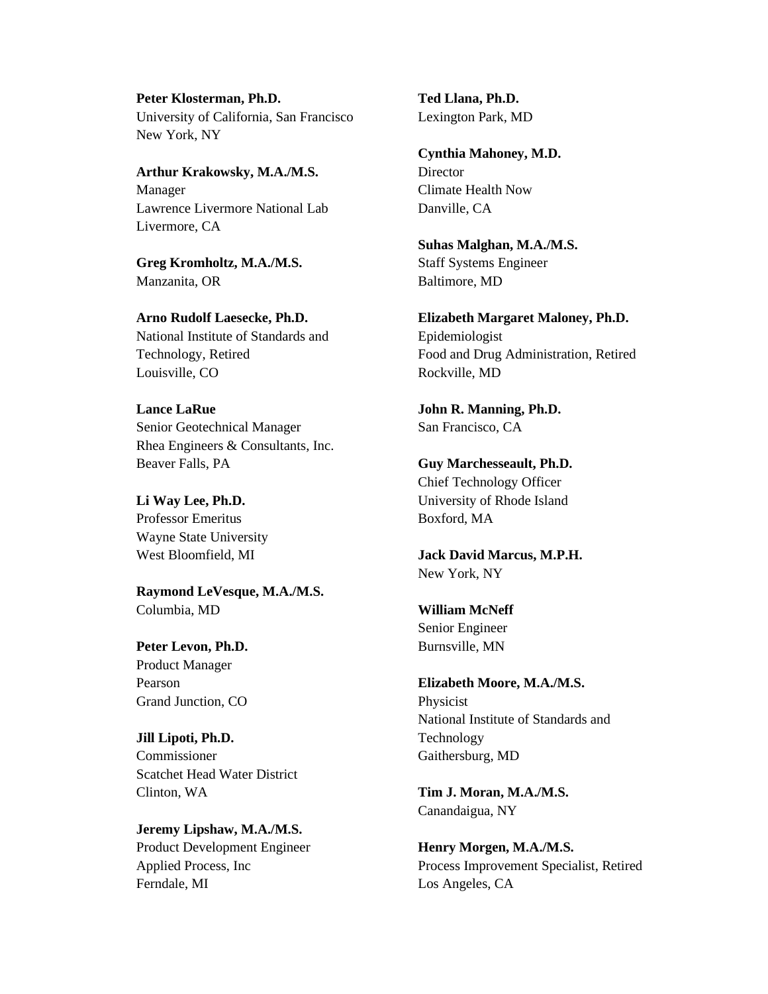# **Peter Klosterman, Ph.D.**

University of California, San Francisco New York, NY

## **Arthur Krakowsky, M.A./M.S.** Manager Lawrence Livermore National Lab Livermore, CA

**Greg Kromholtz, M.A./M.S.** Manzanita, OR

**Arno Rudolf Laesecke, Ph.D.** National Institute of Standards and Technology, Retired Louisville, CO

**Lance LaRue** Senior Geotechnical Manager Rhea Engineers & Consultants, Inc. Beaver Falls, PA

## **Li Way Lee, Ph.D.** Professor Emeritus Wayne State University West Bloomfield, MI

**Raymond LeVesque, M.A./M.S.** Columbia, MD

**Peter Levon, Ph.D.** Product Manager Pearson Grand Junction, CO

**Jill Lipoti, Ph.D.** Commissioner Scatchet Head Water District Clinton, WA

**Jeremy Lipshaw, M.A./M.S.** Product Development Engineer Applied Process, Inc Ferndale, MI

**Ted Llana, Ph.D.** Lexington Park, MD

**Cynthia Mahoney, M.D.** Director Climate Health Now Danville, CA

**Suhas Malghan, M.A./M.S.** Staff Systems Engineer Baltimore, MD

**Elizabeth Margaret Maloney, Ph.D.** Epidemiologist Food and Drug Administration, Retired Rockville, MD

**John R. Manning, Ph.D.** San Francisco, CA

**Guy Marchesseault, Ph.D.** Chief Technology Officer University of Rhode Island Boxford, MA

**Jack David Marcus, M.P.H.** New York, NY

**William McNeff** Senior Engineer Burnsville, MN

**Elizabeth Moore, M.A./M.S.** Physicist National Institute of Standards and Technology Gaithersburg, MD

**Tim J. Moran, M.A./M.S.** Canandaigua, NY

**Henry Morgen, M.A./M.S.** Process Improvement Specialist, Retired Los Angeles, CA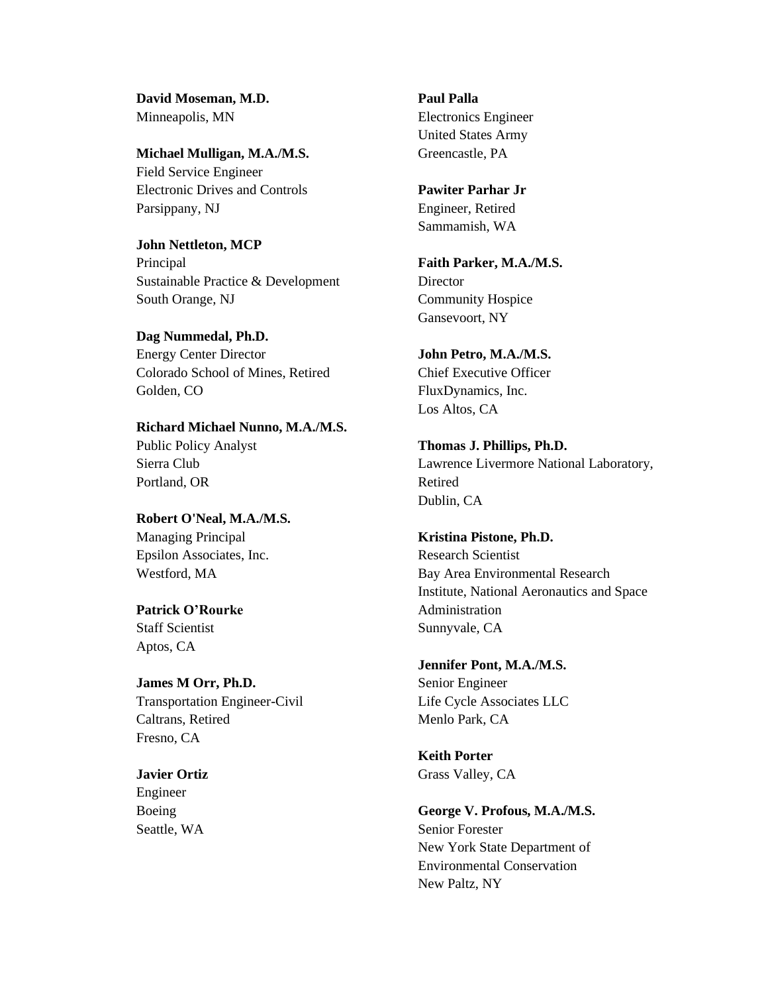**David Moseman, M.D.** Minneapolis, MN

**Michael Mulligan, M.A./M.S.** Field Service Engineer Electronic Drives and Controls Parsippany, NJ

**John Nettleton, MCP** Principal Sustainable Practice & Development South Orange, NJ

**Dag Nummedal, Ph.D.** Energy Center Director Colorado School of Mines, Retired Golden, CO

**Richard Michael Nunno, M.A./M.S.** Public Policy Analyst Sierra Club Portland, OR

**Robert O'Neal, M.A./M.S.** Managing Principal Epsilon Associates, Inc. Westford, MA

**Patrick O'Rourke** Staff Scientist Aptos, CA

**James M Orr, Ph.D.** Transportation Engineer-Civil Caltrans, Retired Fresno, CA

**Javier Ortiz** Engineer Boeing Seattle, WA

**Paul Palla** Electronics Engineer United States Army Greencastle, PA

**Pawiter Parhar Jr** Engineer, Retired Sammamish, WA

**Faith Parker, M.A./M.S.** Director Community Hospice Gansevoort, NY

**John Petro, M.A./M.S.** Chief Executive Officer FluxDynamics, Inc. Los Altos, CA

**Thomas J. Phillips, Ph.D.** Lawrence Livermore National Laboratory, Retired Dublin, CA

**Kristina Pistone, Ph.D.** Research Scientist Bay Area Environmental Research Institute, National Aeronautics and Space Administration Sunnyvale, CA

**Jennifer Pont, M.A./M.S.** Senior Engineer Life Cycle Associates LLC Menlo Park, CA

**Keith Porter** Grass Valley, CA

**George V. Profous, M.A./M.S.** Senior Forester New York State Department of Environmental Conservation New Paltz, NY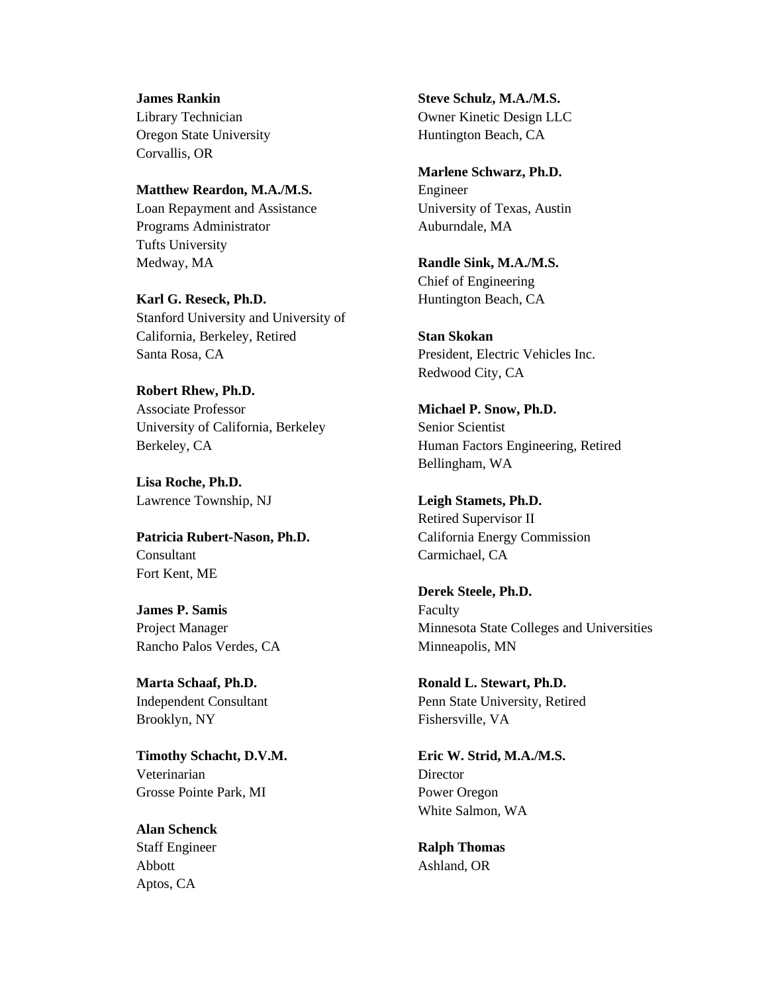**James Rankin** Library Technician Oregon State University Corvallis, OR

**Matthew Reardon, M.A./M.S.**

Loan Repayment and Assistance Programs Administrator Tufts University Medway, MA

**Karl G. Reseck, Ph.D.** Stanford University and University of California, Berkeley, Retired Santa Rosa, CA

**Robert Rhew, Ph.D.** Associate Professor University of California, Berkeley Berkeley, CA

**Lisa Roche, Ph.D.** Lawrence Township, NJ

**Patricia Rubert-Nason, Ph.D.** Consultant Fort Kent, ME

**James P. Samis** Project Manager Rancho Palos Verdes, CA

**Marta Schaaf, Ph.D.** Independent Consultant Brooklyn, NY

**Timothy Schacht, D.V.M.** Veterinarian Grosse Pointe Park, MI

**Alan Schenck** Staff Engineer Abbott Aptos, CA

**Steve Schulz, M.A./M.S.** Owner Kinetic Design LLC Huntington Beach, CA

**Marlene Schwarz, Ph.D.** Engineer University of Texas, Austin Auburndale, MA

**Randle Sink, M.A./M.S.** Chief of Engineering Huntington Beach, CA

**Stan Skokan** President, Electric Vehicles Inc. Redwood City, CA

**Michael P. Snow, Ph.D.** Senior Scientist Human Factors Engineering, Retired Bellingham, WA

**Leigh Stamets, Ph.D.** Retired Supervisor II California Energy Commission Carmichael, CA

**Derek Steele, Ph.D.** Faculty Minnesota State Colleges and Universities Minneapolis, MN

**Ronald L. Stewart, Ph.D.** Penn State University, Retired Fishersville, VA

**Eric W. Strid, M.A./M.S.** Director Power Oregon White Salmon, WA

**Ralph Thomas** Ashland, OR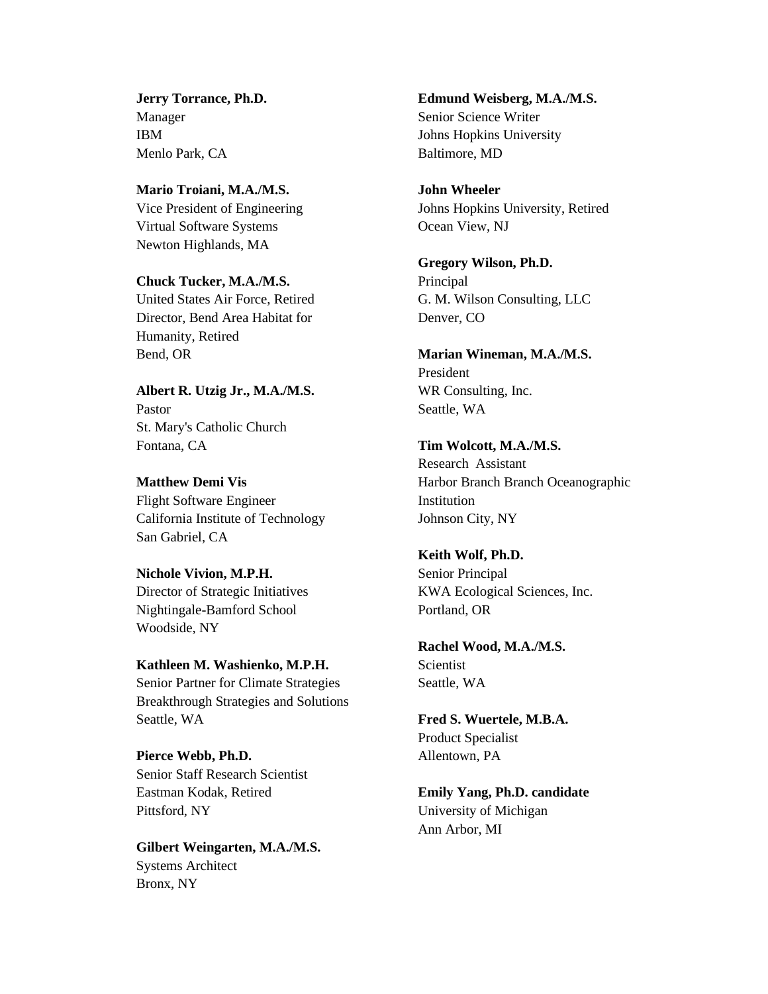**Jerry Torrance, Ph.D.** Manager IBM Menlo Park, CA

**Mario Troiani, M.A./M.S.** Vice President of Engineering Virtual Software Systems Newton Highlands, MA

**Chuck Tucker, M.A./M.S.** United States Air Force, Retired Director, Bend Area Habitat for Humanity, Retired Bend, OR

**Albert R. Utzig Jr., M.A./M.S.** Pastor St. Mary's Catholic Church Fontana, CA

**Matthew Demi Vis** Flight Software Engineer California Institute of Technology San Gabriel, CA

**Nichole Vivion, M.P.H.** Director of Strategic Initiatives Nightingale-Bamford School Woodside, NY

**Kathleen M. Washienko, M.P.H.** Senior Partner for Climate Strategies Breakthrough Strategies and Solutions Seattle, WA

**Pierce Webb, Ph.D.** Senior Staff Research Scientist Eastman Kodak, Retired Pittsford, NY

**Gilbert Weingarten, M.A./M.S.** Systems Architect Bronx, NY

**Edmund Weisberg, M.A./M.S.** Senior Science Writer Johns Hopkins University Baltimore, MD

**John Wheeler** Johns Hopkins University, Retired Ocean View, NJ

**Gregory Wilson, Ph.D.** Principal G. M. Wilson Consulting, LLC Denver, CO

**Marian Wineman, M.A./M.S.** President WR Consulting, Inc. Seattle, WA

**Tim Wolcott, M.A./M.S.** Research Assistant Harbor Branch Branch Oceanographic Institution Johnson City, NY

**Keith Wolf, Ph.D.** Senior Principal KWA Ecological Sciences, Inc. Portland, OR

**Rachel Wood, M.A./M.S.** Scientist Seattle, WA

**Fred S. Wuertele, M.B.A.** Product Specialist Allentown, PA

**Emily Yang, Ph.D. candidate** University of Michigan Ann Arbor, MI